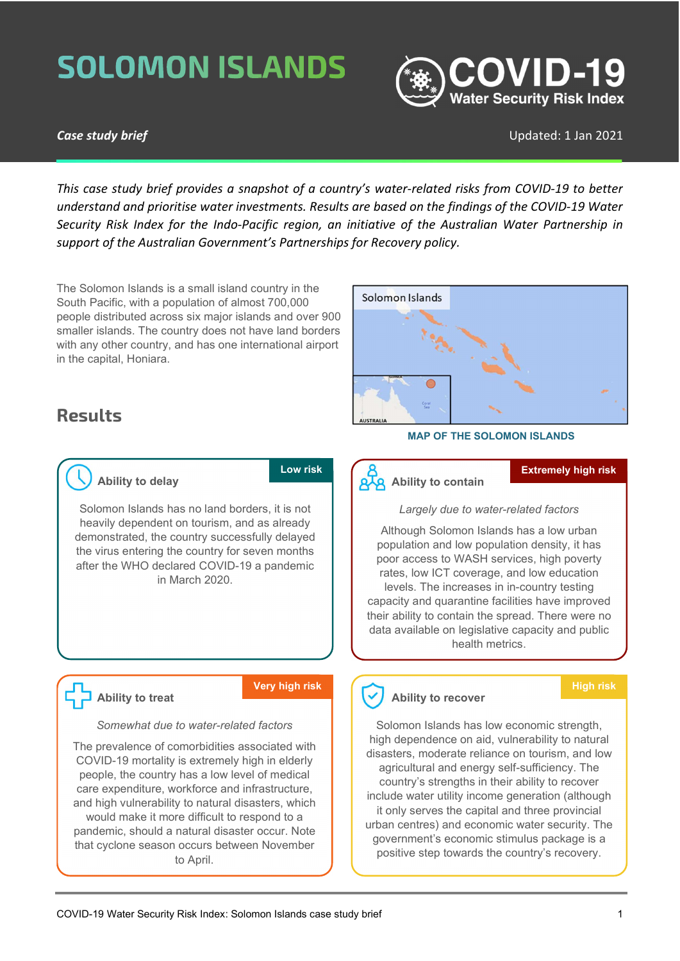# **SOLOMON ISLANDS**



### **Case study brief** Case Study brief Updated: 1 Jan 2021

This case study brief provides a snapshot of a country's water-related risks from COVID-19 to better understand and prioritise water investments. Results are based on the findings of the COVID-19 Water Security Risk Index for the Indo-Pacific region, an initiative of the Australian Water Partnership in support of the Australian Government's Partnerships for Recovery policy.

The Solomon Islands is a small island country in the South Pacific, with a population of almost 700,000 people distributed across six major islands and over 900 smaller islands. The country does not have land borders with any other country, and has one international airport in the capital, Honiara.

### Results



#### MAP OF THE SOLOMON ISLANDS

### Ability to delay

Low risk

Solomon Islands has no land borders, it is not heavily dependent on tourism, and as already demonstrated, the country successfully delayed the virus entering the country for seven months after the WHO declared COVID-19 a pandemic in March 2020.



#### Very high risk

#### Somewhat due to water-related factors

The prevalence of comorbidities associated with COVID-19 mortality is extremely high in elderly people, the country has a low level of medical care expenditure, workforce and infrastructure, and high vulnerability to natural disasters, which would make it more difficult to respond to a pandemic, should a natural disaster occur. Note that cyclone season occurs between November to April.

## **AA** Ability to contain

#### Extremely high risk

Largely due to water-related factors

Although Solomon Islands has a low urban population and low population density, it has poor access to WASH services, high poverty rates, low ICT coverage, and low education levels. The increases in in-country testing capacity and quarantine facilities have improved their ability to contain the spread. There were no data available on legislative capacity and public health metrics.

### Ability to recover

### High risk

Solomon Islands has low economic strength, high dependence on aid, vulnerability to natural disasters, moderate reliance on tourism, and low agricultural and energy self-sufficiency. The country's strengths in their ability to recover include water utility income generation (although it only serves the capital and three provincial urban centres) and economic water security. The government's economic stimulus package is a positive step towards the country's recovery.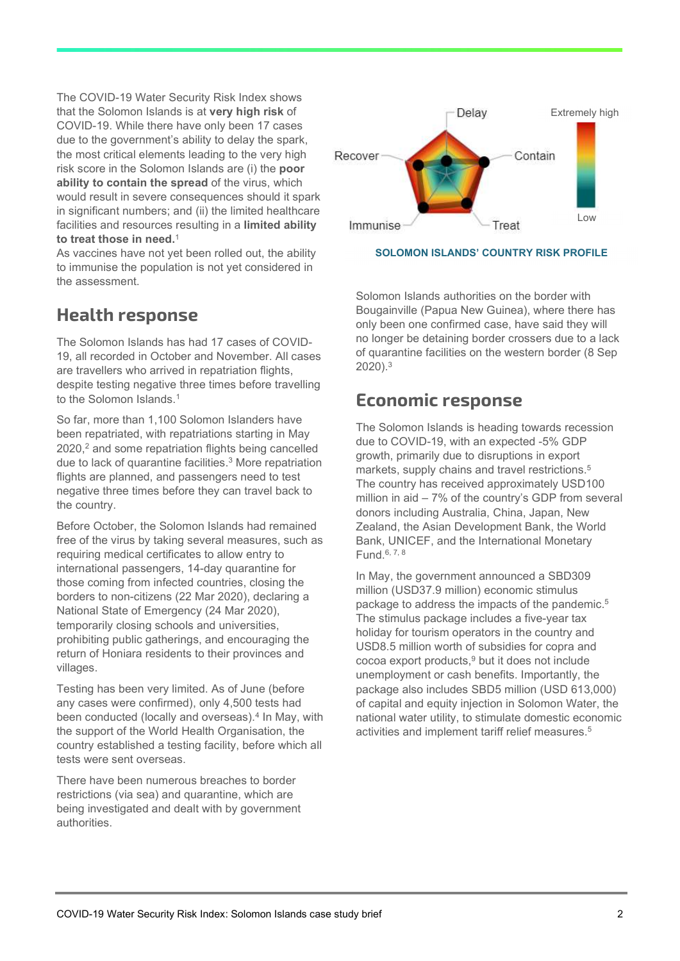The COVID-19 Water Security Risk Index shows that the Solomon Islands is at very high risk of COVID-19. While there have only been 17 cases due to the government's ability to delay the spark, the most critical elements leading to the very high risk score in the Solomon Islands are (i) the poor ability to contain the spread of the virus, which would result in severe consequences should it spark in significant numbers; and (ii) the limited healthcare facilities and resources resulting in a limited ability to treat those in need. $^\mathrm{1}$ 

As vaccines have not yet been rolled out, the ability to immunise the population is not yet considered in the assessment.

### Health response

The Solomon Islands has had 17 cases of COVID-19, all recorded in October and November. All cases are travellers who arrived in repatriation flights, despite testing negative three times before travelling to the Solomon Islands.<sup>1</sup>

So far, more than 1,100 Solomon Islanders have been repatriated, with repatriations starting in May 2020,<sup>2</sup> and some repatriation flights being cancelled due to lack of quarantine facilities.<sup>3</sup> More repatriation flights are planned, and passengers need to test negative three times before they can travel back to the country.

Before October, the Solomon Islands had remained free of the virus by taking several measures, such as requiring medical certificates to allow entry to international passengers, 14-day quarantine for those coming from infected countries, closing the borders to non-citizens (22 Mar 2020), declaring a National State of Emergency (24 Mar 2020), temporarily closing schools and universities, prohibiting public gatherings, and encouraging the return of Honiara residents to their provinces and villages.

Testing has been very limited. As of June (before any cases were confirmed), only 4,500 tests had been conducted (locally and overseas).<sup>4</sup> In May, with the support of the World Health Organisation, the country established a testing facility, before which all tests were sent overseas.

There have been numerous breaches to border restrictions (via sea) and quarantine, which are being investigated and dealt with by government authorities.



SOLOMON ISLANDS' COUNTRY RISK PROFILE

Solomon Islands authorities on the border with Bougainville (Papua New Guinea), where there has only been one confirmed case, have said they will no longer be detaining border crossers due to a lack of quarantine facilities on the western border (8 Sep 2020).<sup>3</sup>

### Economic response

The Solomon Islands is heading towards recession due to COVID-19, with an expected -5% GDP growth, primarily due to disruptions in export markets, supply chains and travel restrictions.<sup>5</sup> The country has received approximately USD100 million in aid – 7% of the country's GDP from several donors including Australia, China, Japan, New Zealand, the Asian Development Bank, the World Bank, UNICEF, and the International Monetary Fund.6, 7, 8

In May, the government announced a SBD309 million (USD37.9 million) economic stimulus package to address the impacts of the pandemic.<sup>5</sup> The stimulus package includes a five-year tax holiday for tourism operators in the country and USD8.5 million worth of subsidies for copra and cocoa export products,<sup>9</sup> but it does not include unemployment or cash benefits. Importantly, the package also includes SBD5 million (USD 613,000) of capital and equity injection in Solomon Water, the national water utility, to stimulate domestic economic activities and implement tariff relief measures.<sup>5</sup>